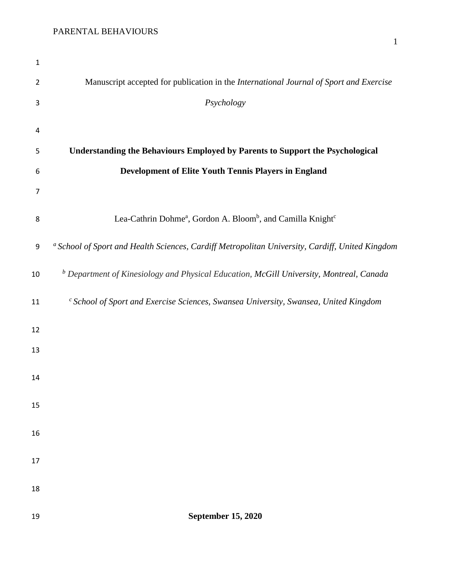| $\mathbf{1}$   |                                                                                                            |
|----------------|------------------------------------------------------------------------------------------------------------|
| $\overline{2}$ | Manuscript accepted for publication in the International Journal of Sport and Exercise                     |
| 3              | Psychology                                                                                                 |
| 4              |                                                                                                            |
| 5              | Understanding the Behaviours Employed by Parents to Support the Psychological                              |
| 6              | Development of Elite Youth Tennis Players in England                                                       |
| 7              |                                                                                                            |
| 8              | Lea-Cathrin Dohme <sup>a</sup> , Gordon A. Bloom <sup>b</sup> , and Camilla Knight <sup>c</sup>            |
| 9              | <sup>a</sup> School of Sport and Health Sciences, Cardiff Metropolitan University, Cardiff, United Kingdom |
| 10             | <sup>b</sup> Department of Kinesiology and Physical Education, McGill University, Montreal, Canada         |
| 11             | $c$ School of Sport and Exercise Sciences, Swansea University, Swansea, United Kingdom                     |
| 12             |                                                                                                            |
| 13             |                                                                                                            |
| 14             |                                                                                                            |
| 15             |                                                                                                            |
| 16             |                                                                                                            |
| 17             |                                                                                                            |
| 18             |                                                                                                            |
| 19             | <b>September 15, 2020</b>                                                                                  |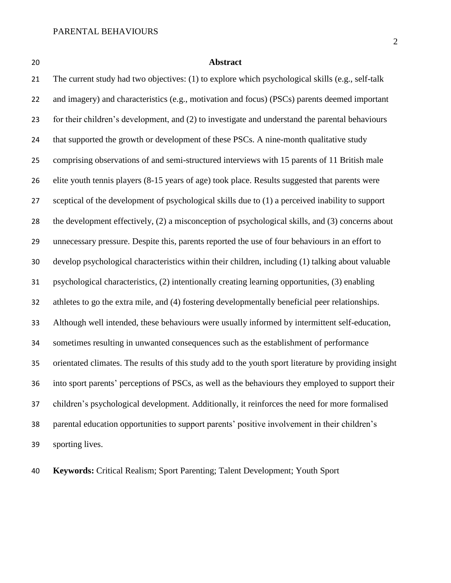### **Abstract**

 The current study had two objectives: (1) to explore which psychological skills (e.g., self-talk and imagery) and characteristics (e.g., motivation and focus) (PSCs) parents deemed important for their children's development, and (2) to investigate and understand the parental behaviours 24 that supported the growth or development of these PSCs. A nine-month qualitative study comprising observations of and semi-structured interviews with 15 parents of 11 British male elite youth tennis players (8-15 years of age) took place. Results suggested that parents were sceptical of the development of psychological skills due to (1) a perceived inability to support the development effectively, (2) a misconception of psychological skills, and (3) concerns about unnecessary pressure. Despite this, parents reported the use of four behaviours in an effort to develop psychological characteristics within their children, including (1) talking about valuable psychological characteristics, (2) intentionally creating learning opportunities, (3) enabling athletes to go the extra mile, and (4) fostering developmentally beneficial peer relationships. Although well intended, these behaviours were usually informed by intermittent self-education, sometimes resulting in unwanted consequences such as the establishment of performance orientated climates. The results of this study add to the youth sport literature by providing insight into sport parents' perceptions of PSCs, as well as the behaviours they employed to support their children's psychological development. Additionally, it reinforces the need for more formalised parental education opportunities to support parents' positive involvement in their children's sporting lives.

**Keywords:** Critical Realism; Sport Parenting; Talent Development; Youth Sport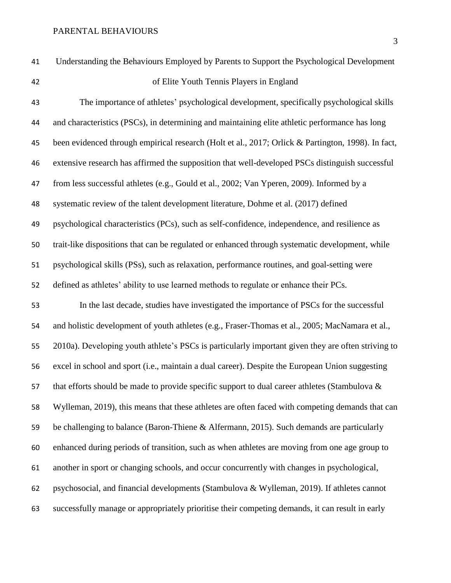of Elite Youth Tennis Players in England

 The importance of athletes' psychological development, specifically psychological skills and characteristics (PSCs), in determining and maintaining elite athletic performance has long been evidenced through empirical research (Holt et al., 2017; Orlick & Partington, 1998). In fact, extensive research has affirmed the supposition that well-developed PSCs distinguish successful from less successful athletes (e.g., Gould et al., 2002; Van Yperen, 2009). Informed by a systematic review of the talent development literature, Dohme et al. (2017) defined psychological characteristics (PCs), such as self-confidence, independence, and resilience as trait-like dispositions that can be regulated or enhanced through systematic development, while psychological skills (PSs), such as relaxation, performance routines, and goal-setting were defined as athletes' ability to use learned methods to regulate or enhance their PCs. In the last decade, studies have investigated the importance of PSCs for the successful and holistic development of youth athletes (e.g., Fraser-Thomas et al., 2005; MacNamara et al., 2010a). Developing youth athlete's PSCs is particularly important given they are often striving to excel in school and sport (i.e., maintain a dual career). Despite the European Union suggesting 57 that efforts should be made to provide specific support to dual career athletes (Stambulova  $\&$  Wylleman, 2019), this means that these athletes are often faced with competing demands that can be challenging to balance (Baron-Thiene & Alfermann, 2015). Such demands are particularly enhanced during periods of transition, such as when athletes are moving from one age group to another in sport or changing schools, and occur concurrently with changes in psychological, psychosocial, and financial developments (Stambulova & Wylleman, 2019). If athletes cannot successfully manage or appropriately prioritise their competing demands, it can result in early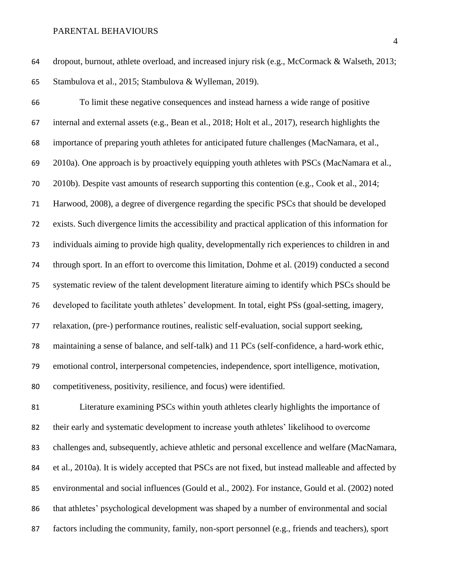dropout, burnout, athlete overload, and increased injury risk (e.g., McCormack & Walseth, 2013; Stambulova et al., 2015; Stambulova & Wylleman, 2019).

 To limit these negative consequences and instead harness a wide range of positive internal and external assets (e.g., Bean et al., 2018; Holt et al., 2017), research highlights the importance of preparing youth athletes for anticipated future challenges (MacNamara, et al., 2010a). One approach is by proactively equipping youth athletes with PSCs (MacNamara et al., 2010b). Despite vast amounts of research supporting this contention (e.g., Cook et al., 2014; Harwood, 2008), a degree of divergence regarding the specific PSCs that should be developed exists. Such divergence limits the accessibility and practical application of this information for individuals aiming to provide high quality, developmentally rich experiences to children in and through sport. In an effort to overcome this limitation, Dohme et al. (2019) conducted a second systematic review of the talent development literature aiming to identify which PSCs should be developed to facilitate youth athletes' development. In total, eight PSs (goal-setting, imagery, relaxation, (pre-) performance routines, realistic self-evaluation, social support seeking, maintaining a sense of balance, and self-talk) and 11 PCs (self-confidence, a hard-work ethic, emotional control, interpersonal competencies, independence, sport intelligence, motivation, competitiveness, positivity, resilience, and focus) were identified.

 Literature examining PSCs within youth athletes clearly highlights the importance of their early and systematic development to increase youth athletes' likelihood to overcome challenges and, subsequently, achieve athletic and personal excellence and welfare (MacNamara, et al., 2010a). It is widely accepted that PSCs are not fixed, but instead malleable and affected by environmental and social influences (Gould et al., 2002). For instance, Gould et al. (2002) noted 86 that athletes' psychological development was shaped by a number of environmental and social factors including the community, family, non-sport personnel (e.g., friends and teachers), sport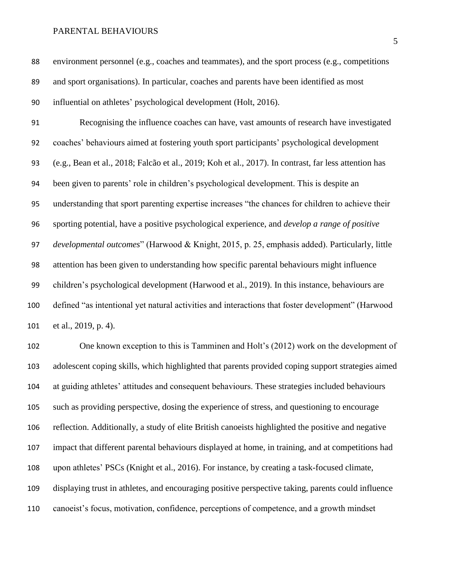environment personnel (e.g., coaches and teammates), and the sport process (e.g., competitions and sport organisations). In particular, coaches and parents have been identified as most influential on athletes' psychological development (Holt, 2016). Recognising the influence coaches can have, vast amounts of research have investigated coaches' behaviours aimed at fostering youth sport participants' psychological development (e.g., Bean et al., 2018; Falcão et al., 2019; Koh et al., 2017). In contrast, far less attention has been given to parents' role in children's psychological development. This is despite an understanding that sport parenting expertise increases "the chances for children to achieve their sporting potential, have a positive psychological experience, and *develop a range of positive developmental outcomes*" (Harwood & Knight, 2015, p. 25, emphasis added). Particularly, little attention has been given to understanding how specific parental behaviours might influence children's psychological development (Harwood et al., 2019). In this instance, behaviours are defined "as intentional yet natural activities and interactions that foster development" (Harwood et al., 2019, p. 4). One known exception to this is Tamminen and Holt's (2012) work on the development of

 adolescent coping skills, which highlighted that parents provided coping support strategies aimed at guiding athletes' attitudes and consequent behaviours. These strategies included behaviours such as providing perspective, dosing the experience of stress, and questioning to encourage reflection. Additionally, a study of elite British canoeists highlighted the positive and negative impact that different parental behaviours displayed at home, in training, and at competitions had upon athletes' PSCs (Knight et al., 2016). For instance, by creating a task-focused climate, displaying trust in athletes, and encouraging positive perspective taking, parents could influence canoeist's focus, motivation, confidence, perceptions of competence, and a growth mindset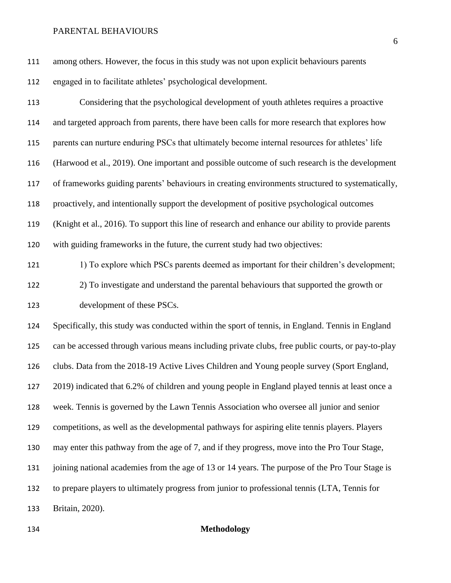among others. However, the focus in this study was not upon explicit behaviours parents engaged in to facilitate athletes' psychological development.

 Considering that the psychological development of youth athletes requires a proactive and targeted approach from parents, there have been calls for more research that explores how parents can nurture enduring PSCs that ultimately become internal resources for athletes' life (Harwood et al., 2019). One important and possible outcome of such research is the development of frameworks guiding parents' behaviours in creating environments structured to systematically, proactively, and intentionally support the development of positive psychological outcomes (Knight et al., 2016). To support this line of research and enhance our ability to provide parents with guiding frameworks in the future, the current study had two objectives:

121 121 1) To explore which PSCs parents deemed as important for their children's development; 2) To investigate and understand the parental behaviours that supported the growth or development of these PSCs.

 Specifically, this study was conducted within the sport of tennis, in England. Tennis in England can be accessed through various means including private clubs, free public courts, or pay-to-play clubs. Data from the 2018-19 Active Lives Children and Young people survey (Sport England, 2019) indicated that 6.2% of children and young people in England played tennis at least once a week. Tennis is governed by the Lawn Tennis Association who oversee all junior and senior competitions, as well as the developmental pathways for aspiring elite tennis players. Players may enter this pathway from the age of 7, and if they progress, move into the Pro Tour Stage, 131 joining national academies from the age of 13 or 14 years. The purpose of the Pro Tour Stage is to prepare players to ultimately progress from junior to professional tennis (LTA, Tennis for Britain, 2020).

**Methodology**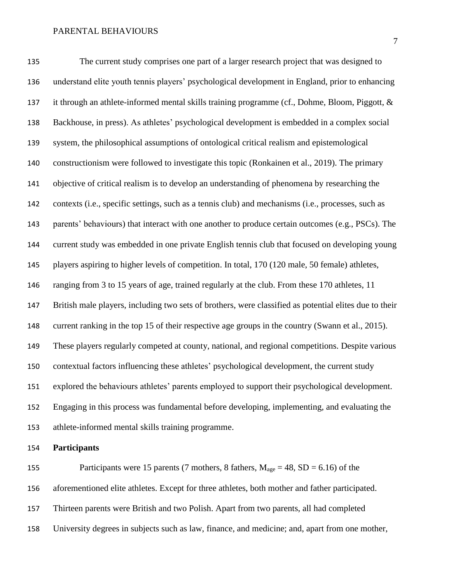The current study comprises one part of a larger research project that was designed to understand elite youth tennis players' psychological development in England, prior to enhancing it through an athlete-informed mental skills training programme (cf., Dohme, Bloom, Piggott, & Backhouse, in press). As athletes' psychological development is embedded in a complex social system, the philosophical assumptions of ontological critical realism and epistemological constructionism were followed to investigate this topic (Ronkainen et al., 2019). The primary objective of critical realism is to develop an understanding of phenomena by researching the contexts (i.e., specific settings, such as a tennis club) and mechanisms (i.e., processes, such as parents' behaviours) that interact with one another to produce certain outcomes (e.g., PSCs). The current study was embedded in one private English tennis club that focused on developing young players aspiring to higher levels of competition. In total, 170 (120 male, 50 female) athletes, ranging from 3 to 15 years of age, trained regularly at the club. From these 170 athletes, 11 British male players, including two sets of brothers, were classified as potential elites due to their current ranking in the top 15 of their respective age groups in the country (Swann et al., 2015). These players regularly competed at county, national, and regional competitions. Despite various contextual factors influencing these athletes' psychological development, the current study explored the behaviours athletes' parents employed to support their psychological development. Engaging in this process was fundamental before developing, implementing, and evaluating the athlete-informed mental skills training programme.

**Participants** 

155 Participants were 15 parents (7 mothers, 8 fathers,  $M_{\text{age}} = 48$ , SD = 6.16) of the aforementioned elite athletes. Except for three athletes, both mother and father participated. Thirteen parents were British and two Polish. Apart from two parents, all had completed University degrees in subjects such as law, finance, and medicine; and, apart from one mother,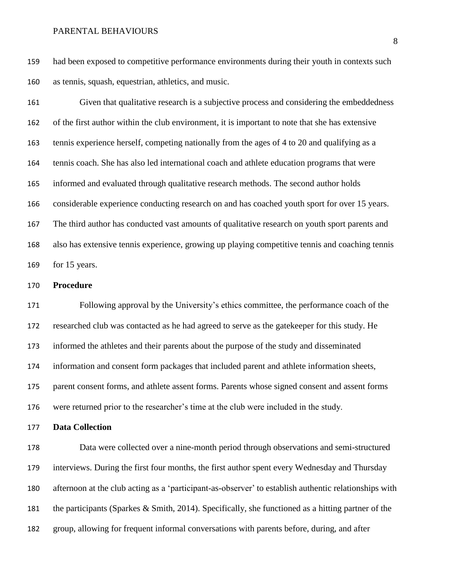had been exposed to competitive performance environments during their youth in contexts such as tennis, squash, equestrian, athletics, and music.

 Given that qualitative research is a subjective process and considering the embeddedness of the first author within the club environment, it is important to note that she has extensive tennis experience herself, competing nationally from the ages of 4 to 20 and qualifying as a tennis coach. She has also led international coach and athlete education programs that were informed and evaluated through qualitative research methods. The second author holds considerable experience conducting research on and has coached youth sport for over 15 years. The third author has conducted vast amounts of qualitative research on youth sport parents and also has extensive tennis experience, growing up playing competitive tennis and coaching tennis for 15 years.

## **Procedure**

 Following approval by the University's ethics committee, the performance coach of the researched club was contacted as he had agreed to serve as the gatekeeper for this study. He informed the athletes and their parents about the purpose of the study and disseminated information and consent form packages that included parent and athlete information sheets, parent consent forms, and athlete assent forms. Parents whose signed consent and assent forms were returned prior to the researcher's time at the club were included in the study.

## **Data Collection**

 Data were collected over a nine-month period through observations and semi-structured interviews. During the first four months, the first author spent every Wednesday and Thursday afternoon at the club acting as a 'participant-as-observer' to establish authentic relationships with the participants (Sparkes & Smith, 2014). Specifically, she functioned as a hitting partner of the group, allowing for frequent informal conversations with parents before, during, and after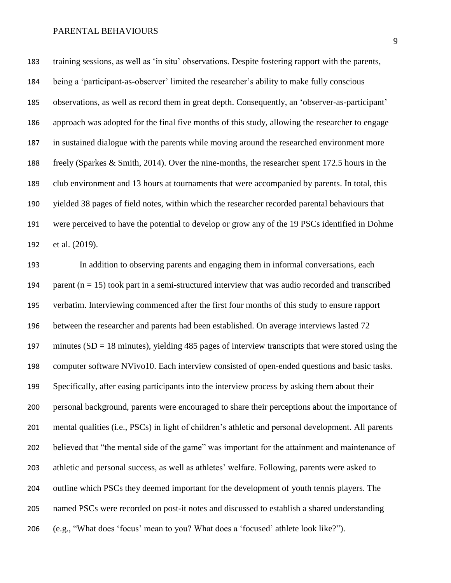training sessions, as well as 'in situ' observations. Despite fostering rapport with the parents, being a 'participant-as-observer' limited the researcher's ability to make fully conscious observations, as well as record them in great depth. Consequently, an 'observer-as-participant' approach was adopted for the final five months of this study, allowing the researcher to engage in sustained dialogue with the parents while moving around the researched environment more freely (Sparkes & Smith, 2014). Over the nine-months, the researcher spent 172.5 hours in the club environment and 13 hours at tournaments that were accompanied by parents. In total, this yielded 38 pages of field notes, within which the researcher recorded parental behaviours that were perceived to have the potential to develop or grow any of the 19 PSCs identified in Dohme et al. (2019).

 In addition to observing parents and engaging them in informal conversations, each 194 parent  $(n = 15)$  took part in a semi-structured interview that was audio recorded and transcribed verbatim. Interviewing commenced after the first four months of this study to ensure rapport between the researcher and parents had been established. On average interviews lasted 72 197 minutes  $(SD = 18 \text{ minutes})$ , yielding 485 pages of interview transcripts that were stored using the computer software NVivo10. Each interview consisted of open-ended questions and basic tasks. Specifically, after easing participants into the interview process by asking them about their personal background, parents were encouraged to share their perceptions about the importance of mental qualities (i.e., PSCs) in light of children's athletic and personal development. All parents believed that "the mental side of the game" was important for the attainment and maintenance of athletic and personal success, as well as athletes' welfare. Following, parents were asked to outline which PSCs they deemed important for the development of youth tennis players. The named PSCs were recorded on post-it notes and discussed to establish a shared understanding (e.g., "What does 'focus' mean to you? What does a 'focused' athlete look like?").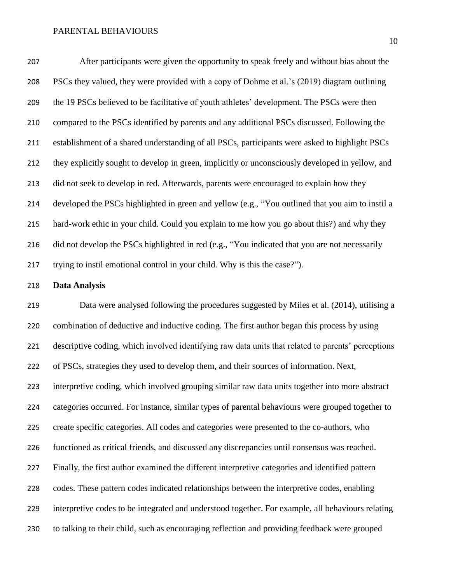After participants were given the opportunity to speak freely and without bias about the PSCs they valued, they were provided with a copy of Dohme et al.'s (2019) diagram outlining the 19 PSCs believed to be facilitative of youth athletes' development. The PSCs were then compared to the PSCs identified by parents and any additional PSCs discussed. Following the establishment of a shared understanding of all PSCs, participants were asked to highlight PSCs they explicitly sought to develop in green, implicitly or unconsciously developed in yellow, and did not seek to develop in red. Afterwards, parents were encouraged to explain how they developed the PSCs highlighted in green and yellow (e.g., "You outlined that you aim to instil a hard-work ethic in your child. Could you explain to me how you go about this?) and why they 216 did not develop the PSCs highlighted in red (e.g., "You indicated that you are not necessarily trying to instil emotional control in your child. Why is this the case?").

## **Data Analysis**

 Data were analysed following the procedures suggested by Miles et al. (2014), utilising a combination of deductive and inductive coding. The first author began this process by using descriptive coding, which involved identifying raw data units that related to parents' perceptions of PSCs, strategies they used to develop them, and their sources of information. Next, interpretive coding, which involved grouping similar raw data units together into more abstract categories occurred. For instance, similar types of parental behaviours were grouped together to create specific categories. All codes and categories were presented to the co-authors, who functioned as critical friends, and discussed any discrepancies until consensus was reached. Finally, the first author examined the different interpretive categories and identified pattern codes. These pattern codes indicated relationships between the interpretive codes, enabling interpretive codes to be integrated and understood together. For example, all behaviours relating to talking to their child, such as encouraging reflection and providing feedback were grouped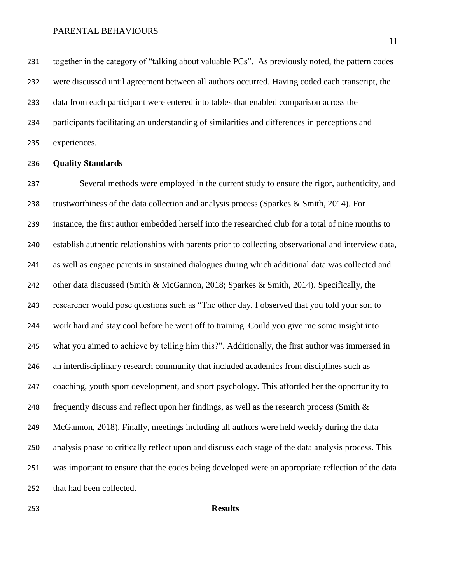231 together in the category of "talking about valuable PCs". As previously noted, the pattern codes were discussed until agreement between all authors occurred. Having coded each transcript, the data from each participant were entered into tables that enabled comparison across the participants facilitating an understanding of similarities and differences in perceptions and experiences.

### **Quality Standards**

 Several methods were employed in the current study to ensure the rigor, authenticity, and trustworthiness of the data collection and analysis process (Sparkes & Smith, 2014). For instance, the first author embedded herself into the researched club for a total of nine months to establish authentic relationships with parents prior to collecting observational and interview data, as well as engage parents in sustained dialogues during which additional data was collected and 242 other data discussed (Smith & McGannon, 2018; Sparkes & Smith, 2014). Specifically, the researcher would pose questions such as "The other day, I observed that you told your son to work hard and stay cool before he went off to training. Could you give me some insight into what you aimed to achieve by telling him this?". Additionally, the first author was immersed in an interdisciplinary research community that included academics from disciplines such as coaching, youth sport development, and sport psychology. This afforded her the opportunity to 248 frequently discuss and reflect upon her findings, as well as the research process (Smith  $\&$  McGannon, 2018). Finally, meetings including all authors were held weekly during the data analysis phase to critically reflect upon and discuss each stage of the data analysis process. This was important to ensure that the codes being developed were an appropriate reflection of the data that had been collected.

## **Results**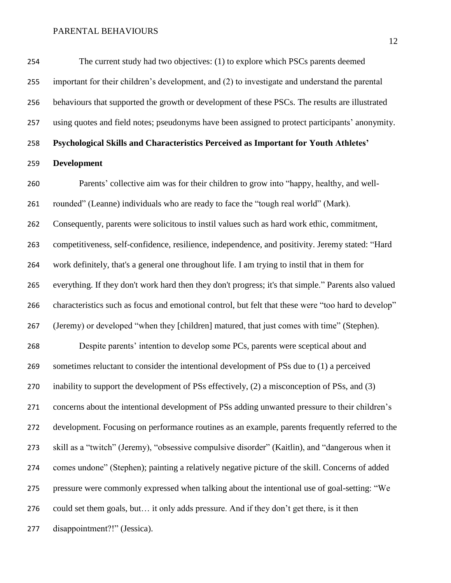The current study had two objectives: (1) to explore which PSCs parents deemed important for their children's development, and (2) to investigate and understand the parental behaviours that supported the growth or development of these PSCs. The results are illustrated using quotes and field notes; pseudonyms have been assigned to protect participants' anonymity. **Psychological Skills and Characteristics Perceived as Important for Youth Athletes' Development**

 Parents' collective aim was for their children to grow into "happy, healthy, and well- rounded" (Leanne) individuals who are ready to face the "tough real world" (Mark). Consequently, parents were solicitous to instil values such as hard work ethic, commitment, competitiveness, self-confidence, resilience, independence, and positivity. Jeremy stated: "Hard work definitely, that's a general one throughout life. I am trying to instil that in them for everything. If they don't work hard then they don't progress; it's that simple." Parents also valued characteristics such as focus and emotional control, but felt that these were "too hard to develop" (Jeremy) or developed "when they [children] matured, that just comes with time" (Stephen). Despite parents' intention to develop some PCs, parents were sceptical about and sometimes reluctant to consider the intentional development of PSs due to (1) a perceived inability to support the development of PSs effectively, (2) a misconception of PSs, and (3) concerns about the intentional development of PSs adding unwanted pressure to their children's development. Focusing on performance routines as an example, parents frequently referred to the skill as a "twitch" (Jeremy), "obsessive compulsive disorder" (Kaitlin), and "dangerous when it comes undone" (Stephen); painting a relatively negative picture of the skill. Concerns of added pressure were commonly expressed when talking about the intentional use of goal-setting: "We could set them goals, but… it only adds pressure. And if they don't get there, is it then disappointment?!" (Jessica).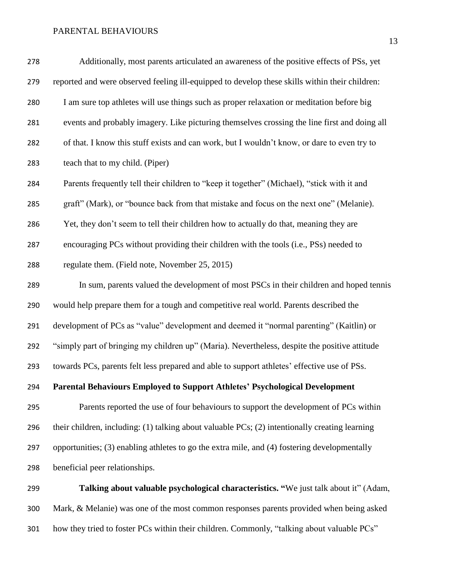| 279 | reported and were observed feeling ill-equipped to develop these skills within their children: |
|-----|------------------------------------------------------------------------------------------------|
| 280 | I am sure top athletes will use things such as proper relaxation or meditation before big      |
| 281 | events and probably imagery. Like picturing themselves crossing the line first and doing all   |
| 282 | of that. I know this stuff exists and can work, but I wouldn't know, or dare to even try to    |
| 283 | teach that to my child. (Piper)                                                                |
| 284 | Parents frequently tell their children to "keep it together" (Michael), "stick with it and     |
| 285 | graft" (Mark), or "bounce back from that mistake and focus on the next one" (Melanie).         |
| 286 | Yet, they don't seem to tell their children how to actually do that, meaning they are          |
| 287 | encouraging PCs without providing their children with the tools (i.e., PSs) needed to          |
| 288 | regulate them. (Field note, November 25, 2015)                                                 |
| 289 | In sum, parents valued the development of most PSCs in their children and hoped tennis         |
| 290 | would help prepare them for a tough and competitive real world. Parents described the          |
| 291 | development of PCs as "value" development and deemed it "normal parenting" (Kaitlin) or        |
| 292 | "simply part of bringing my children up" (Maria). Nevertheless, despite the positive attitude  |
| 293 | towards PCs, parents felt less prepared and able to support athletes' effective use of PSs.    |
| 294 | Parental Behaviours Employed to Support Athletes' Psychological Development                    |
| 295 | Parents reported the use of four behaviours to support the development of PCs within           |
| 296 | their children, including: (1) talking about valuable PCs; (2) intentionally creating learning |
| 297 | opportunities; (3) enabling athletes to go the extra mile, and (4) fostering developmentally   |
| 298 | beneficial peer relationships.                                                                 |
| 299 | Talking about valuable psychological characteristics. "We just talk about it" (Adam,           |

 Mark, & Melanie) was one of the most common responses parents provided when being asked how they tried to foster PCs within their children. Commonly, "talking about valuable PCs"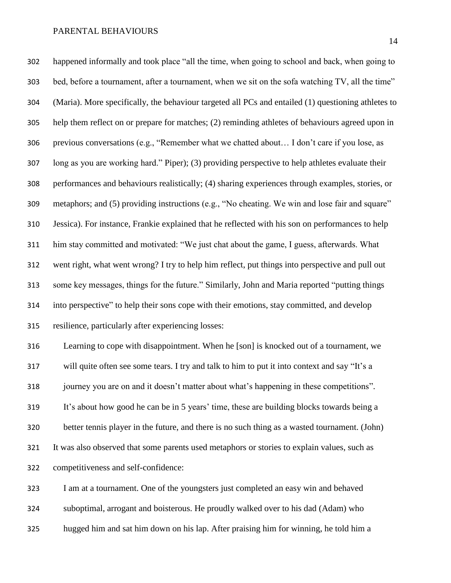happened informally and took place "all the time, when going to school and back, when going to bed, before a tournament, after a tournament, when we sit on the sofa watching TV, all the time" (Maria). More specifically, the behaviour targeted all PCs and entailed (1) questioning athletes to help them reflect on or prepare for matches; (2) reminding athletes of behaviours agreed upon in previous conversations (e.g., "Remember what we chatted about… I don't care if you lose, as long as you are working hard." Piper); (3) providing perspective to help athletes evaluate their performances and behaviours realistically; (4) sharing experiences through examples, stories, or metaphors; and (5) providing instructions (e.g., "No cheating. We win and lose fair and square" Jessica). For instance, Frankie explained that he reflected with his son on performances to help him stay committed and motivated: "We just chat about the game, I guess, afterwards. What went right, what went wrong? I try to help him reflect, put things into perspective and pull out some key messages, things for the future." Similarly, John and Maria reported "putting things into perspective" to help their sons cope with their emotions, stay committed, and develop resilience, particularly after experiencing losses: Learning to cope with disappointment. When he [son] is knocked out of a tournament, we will quite often see some tears. I try and talk to him to put it into context and say "It's a journey you are on and it doesn't matter about what's happening in these competitions". It's about how good he can be in 5 years' time, these are building blocks towards being a better tennis player in the future, and there is no such thing as a wasted tournament. (John) It was also observed that some parents used metaphors or stories to explain values, such as competitiveness and self-confidence: I am at a tournament. One of the youngsters just completed an easy win and behaved

suboptimal, arrogant and boisterous. He proudly walked over to his dad (Adam) who

hugged him and sat him down on his lap. After praising him for winning, he told him a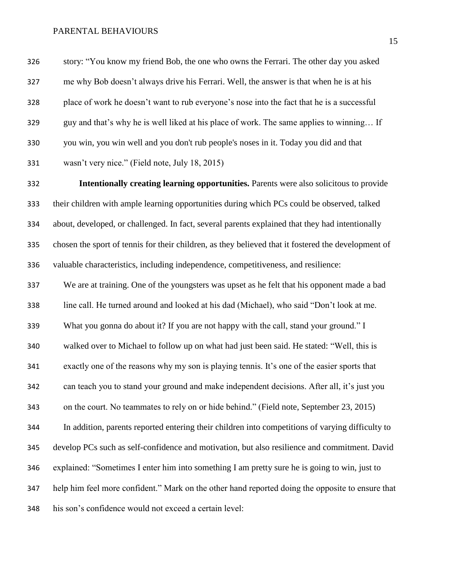story: "You know my friend Bob, the one who owns the Ferrari. The other day you asked me why Bob doesn't always drive his Ferrari. Well, the answer is that when he is at his place of work he doesn't want to rub everyone's nose into the fact that he is a successful guy and that's why he is well liked at his place of work. The same applies to winning… If you win, you win well and you don't rub people's noses in it. Today you did and that wasn't very nice." (Field note, July 18, 2015)

 **Intentionally creating learning opportunities.** Parents were also solicitous to provide their children with ample learning opportunities during which PCs could be observed, talked about, developed, or challenged. In fact, several parents explained that they had intentionally chosen the sport of tennis for their children, as they believed that it fostered the development of valuable characteristics, including independence, competitiveness, and resilience: We are at training. One of the youngsters was upset as he felt that his opponent made a bad line call. He turned around and looked at his dad (Michael), who said "Don't look at me. What you gonna do about it? If you are not happy with the call, stand your ground." I walked over to Michael to follow up on what had just been said. He stated: "Well, this is exactly one of the reasons why my son is playing tennis. It's one of the easier sports that can teach you to stand your ground and make independent decisions. After all, it's just you on the court. No teammates to rely on or hide behind." (Field note, September 23, 2015) In addition, parents reported entering their children into competitions of varying difficulty to develop PCs such as self-confidence and motivation, but also resilience and commitment. David explained: "Sometimes I enter him into something I am pretty sure he is going to win, just to help him feel more confident." Mark on the other hand reported doing the opposite to ensure that his son's confidence would not exceed a certain level: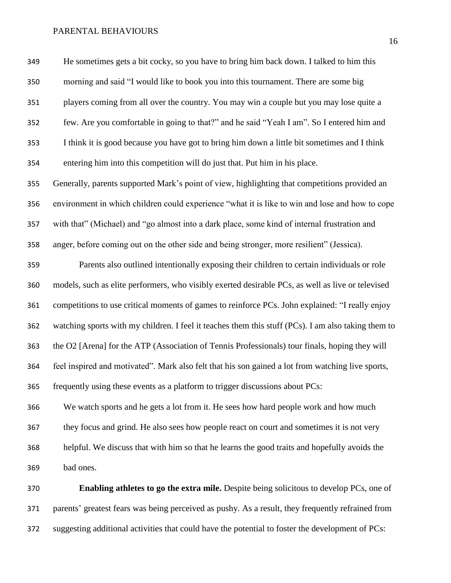He sometimes gets a bit cocky, so you have to bring him back down. I talked to him this morning and said "I would like to book you into this tournament. There are some big players coming from all over the country. You may win a couple but you may lose quite a few. Are you comfortable in going to that?" and he said "Yeah I am". So I entered him and I think it is good because you have got to bring him down a little bit sometimes and I think entering him into this competition will do just that. Put him in his place. Generally, parents supported Mark's point of view, highlighting that competitions provided an environment in which children could experience "what it is like to win and lose and how to cope with that" (Michael) and "go almost into a dark place, some kind of internal frustration and anger, before coming out on the other side and being stronger, more resilient" (Jessica). Parents also outlined intentionally exposing their children to certain individuals or role models, such as elite performers, who visibly exerted desirable PCs, as well as live or televised competitions to use critical moments of games to reinforce PCs. John explained: "I really enjoy watching sports with my children. I feel it teaches them this stuff (PCs). I am also taking them to the O2 [Arena] for the ATP (Association of Tennis Professionals) tour finals, hoping they will feel inspired and motivated". Mark also felt that his son gained a lot from watching live sports, frequently using these events as a platform to trigger discussions about PCs: We watch sports and he gets a lot from it. He sees how hard people work and how much they focus and grind. He also sees how people react on court and sometimes it is not very helpful. We discuss that with him so that he learns the good traits and hopefully avoids the bad ones.

 **Enabling athletes to go the extra mile.** Despite being solicitous to develop PCs, one of parents' greatest fears was being perceived as pushy. As a result, they frequently refrained from suggesting additional activities that could have the potential to foster the development of PCs: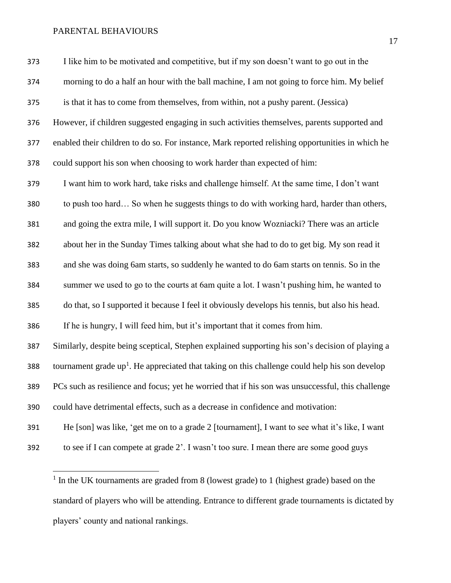$\overline{\phantom{a}}$ 

| 373 | I like him to be motivated and competitive, but if my son doesn't want to go out in the           |
|-----|---------------------------------------------------------------------------------------------------|
| 374 | morning to do a half an hour with the ball machine, I am not going to force him. My belief        |
| 375 | is that it has to come from themselves, from within, not a pushy parent. (Jessica)                |
| 376 | However, if children suggested engaging in such activities themselves, parents supported and      |
| 377 | enabled their children to do so. For instance, Mark reported relishing opportunities in which he  |
| 378 | could support his son when choosing to work harder than expected of him:                          |
| 379 | I want him to work hard, take risks and challenge himself. At the same time, I don't want         |
| 380 | to push too hard So when he suggests things to do with working hard, harder than others,          |
| 381 | and going the extra mile, I will support it. Do you know Wozniacki? There was an article          |
| 382 | about her in the Sunday Times talking about what she had to do to get big. My son read it         |
| 383 | and she was doing 6am starts, so suddenly he wanted to do 6am starts on tennis. So in the         |
| 384 | summer we used to go to the courts at 6am quite a lot. I wasn't pushing him, he wanted to         |
| 385 | do that, so I supported it because I feel it obviously develops his tennis, but also his head.    |
| 386 | If he is hungry, I will feed him, but it's important that it comes from him.                      |
| 387 | Similarly, despite being sceptical, Stephen explained supporting his son's decision of playing a  |
| 388 | tournament grade $up1$ . He appreciated that taking on this challenge could help his son develop  |
| 389 | PCs such as resilience and focus; yet he worried that if his son was unsuccessful, this challenge |
| 390 | could have detrimental effects, such as a decrease in confidence and motivation:                  |
| 391 | He [son] was like, 'get me on to a grade 2 [tournament], I want to see what it's like, I want     |
| 392 | to see if I can compete at grade 2'. I wasn't too sure. I mean there are some good guys           |

<sup>1</sup> In the UK tournaments are graded from 8 (lowest grade) to 1 (highest grade) based on the standard of players who will be attending. Entrance to different grade tournaments is dictated by players' county and national rankings.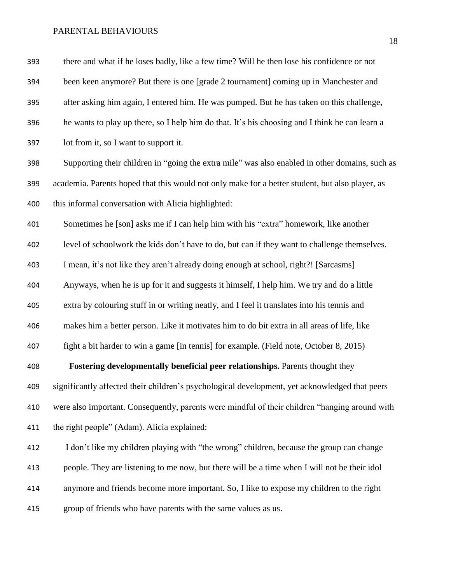| 393 | there and what if he loses badly, like a few time? Will he then lose his confidence or not      |
|-----|-------------------------------------------------------------------------------------------------|
| 394 | been keen anymore? But there is one [grade 2 tournament] coming up in Manchester and            |
| 395 | after asking him again, I entered him. He was pumped. But he has taken on this challenge,       |
| 396 | he wants to play up there, so I help him do that. It's his choosing and I think he can learn a  |
| 397 | lot from it, so I want to support it.                                                           |
| 398 | Supporting their children in "going the extra mile" was also enabled in other domains, such as  |
| 399 | academia. Parents hoped that this would not only make for a better student, but also player, as |
| 400 | this informal conversation with Alicia highlighted:                                             |
| 401 | Sometimes he [son] asks me if I can help him with his "extra" homework, like another            |
| 402 | level of schoolwork the kids don't have to do, but can if they want to challenge themselves.    |
| 403 | I mean, it's not like they aren't already doing enough at school, right?! [Sarcasms]            |
| 404 | Anyways, when he is up for it and suggests it himself, I help him. We try and do a little       |
| 405 | extra by colouring stuff in or writing neatly, and I feel it translates into his tennis and     |
| 406 | makes him a better person. Like it motivates him to do bit extra in all areas of life, like     |
| 407 | fight a bit harder to win a game [in tennis] for example. (Field note, October 8, 2015)         |
| 408 | Fostering developmentally beneficial peer relationships. Parents thought they                   |
| 409 | significantly affected their children's psychological development, yet acknowledged that peers  |
| 410 | were also important. Consequently, parents were mindful of their children "hanging around with  |
| 411 | the right people" (Adam). Alicia explained:                                                     |
| 412 | I don't like my children playing with "the wrong" children, because the group can change        |
| 413 | people. They are listening to me now, but there will be a time when I will not be their idol    |
| 414 | anymore and friends become more important. So, I like to expose my children to the right        |
| 415 | group of friends who have parents with the same values as us.                                   |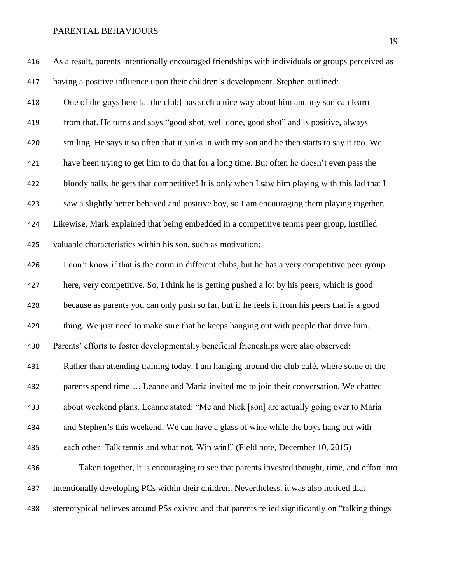| 416 | As a result, parents intentionally encouraged friendships with individuals or groups perceived as  |
|-----|----------------------------------------------------------------------------------------------------|
| 417 | having a positive influence upon their children's development. Stephen outlined:                   |
| 418 | One of the guys here [at the club] has such a nice way about him and my son can learn              |
| 419 | from that. He turns and says "good shot, well done, good shot" and is positive, always             |
| 420 | smiling. He says it so often that it sinks in with my son and he then starts to say it too. We     |
| 421 | have been trying to get him to do that for a long time. But often he doesn't even pass the         |
| 422 | bloody balls, he gets that competitive! It is only when I saw him playing with this lad that I     |
| 423 | saw a slightly better behaved and positive boy, so I am encouraging them playing together.         |
| 424 | Likewise, Mark explained that being embedded in a competitive tennis peer group, instilled         |
| 425 | valuable characteristics within his son, such as motivation:                                       |
| 426 | I don't know if that is the norm in different clubs, but he has a very competitive peer group      |
| 427 | here, very competitive. So, I think he is getting pushed a lot by his peers, which is good         |
| 428 | because as parents you can only push so far, but if he feels it from his peers that is a good      |
| 429 | thing. We just need to make sure that he keeps hanging out with people that drive him.             |
| 430 | Parents' efforts to foster developmentally beneficial friendships were also observed:              |
| 431 | Rather than attending training today, I am hanging around the club café, where some of the         |
| 432 | parents spend time Leanne and Maria invited me to join their conversation. We chatted              |
| 433 | about weekend plans. Leanne stated: "Me and Nick [son] are actually going over to Maria            |
| 434 | and Stephen's this weekend. We can have a glass of wine while the boys hang out with               |
| 435 | each other. Talk tennis and what not. Win win!" (Field note, December 10, 2015)                    |
| 436 | Taken together, it is encouraging to see that parents invested thought, time, and effort into      |
| 437 | intentionally developing PCs within their children. Nevertheless, it was also noticed that         |
| 438 | stereotypical believes around PSs existed and that parents relied significantly on "talking things |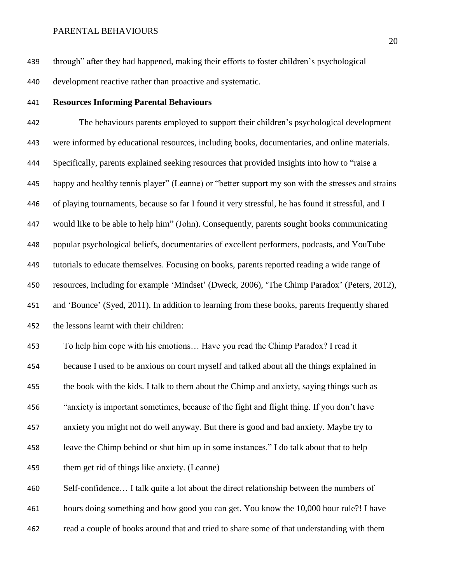through" after they had happened, making their efforts to foster children's psychological development reactive rather than proactive and systematic.

**Resources Informing Parental Behaviours** 

 The behaviours parents employed to support their children's psychological development were informed by educational resources, including books, documentaries, and online materials. Specifically, parents explained seeking resources that provided insights into how to "raise a happy and healthy tennis player" (Leanne) or "better support my son with the stresses and strains of playing tournaments, because so far I found it very stressful, he has found it stressful, and I would like to be able to help him" (John). Consequently, parents sought books communicating popular psychological beliefs, documentaries of excellent performers, podcasts, and YouTube tutorials to educate themselves. Focusing on books, parents reported reading a wide range of resources, including for example 'Mindset' (Dweck, 2006), 'The Chimp Paradox' (Peters, 2012), and 'Bounce' (Syed, 2011). In addition to learning from these books, parents frequently shared the lessons learnt with their children:

 To help him cope with his emotions… Have you read the Chimp Paradox? I read it because I used to be anxious on court myself and talked about all the things explained in the book with the kids. I talk to them about the Chimp and anxiety, saying things such as "anxiety is important sometimes, because of the fight and flight thing. If you don't have anxiety you might not do well anyway. But there is good and bad anxiety. Maybe try to leave the Chimp behind or shut him up in some instances." I do talk about that to help them get rid of things like anxiety. (Leanne)

 Self-confidence… I talk quite a lot about the direct relationship between the numbers of hours doing something and how good you can get. You know the 10,000 hour rule?! I have read a couple of books around that and tried to share some of that understanding with them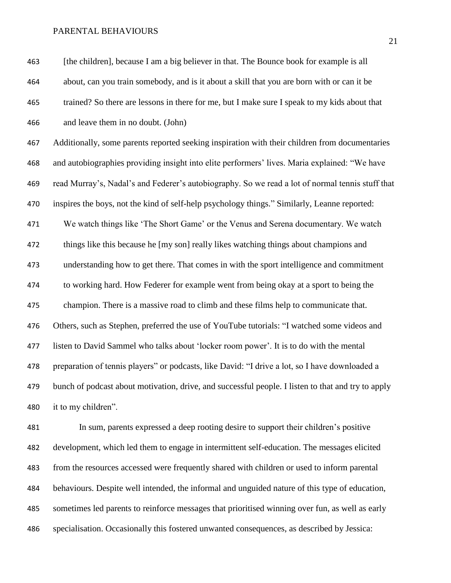[the children], because I am a big believer in that. The Bounce book for example is all about, can you train somebody, and is it about a skill that you are born with or can it be trained? So there are lessons in there for me, but I make sure I speak to my kids about that and leave them in no doubt. (John) Additionally, some parents reported seeking inspiration with their children from documentaries and autobiographies providing insight into elite performers' lives. Maria explained: "We have read Murray's, Nadal's and Federer's autobiography. So we read a lot of normal tennis stuff that inspires the boys, not the kind of self-help psychology things." Similarly, Leanne reported: We watch things like 'The Short Game' or the Venus and Serena documentary. We watch things like this because he [my son] really likes watching things about champions and understanding how to get there. That comes in with the sport intelligence and commitment to working hard. How Federer for example went from being okay at a sport to being the champion. There is a massive road to climb and these films help to communicate that. Others, such as Stephen, preferred the use of YouTube tutorials: "I watched some videos and listen to David Sammel who talks about 'locker room power'. It is to do with the mental preparation of tennis players" or podcasts, like David: "I drive a lot, so I have downloaded a bunch of podcast about motivation, drive, and successful people. I listen to that and try to apply it to my children". In sum, parents expressed a deep rooting desire to support their children's positive

 development, which led them to engage in intermittent self-education. The messages elicited from the resources accessed were frequently shared with children or used to inform parental behaviours. Despite well intended, the informal and unguided nature of this type of education, sometimes led parents to reinforce messages that prioritised winning over fun, as well as early specialisation. Occasionally this fostered unwanted consequences, as described by Jessica: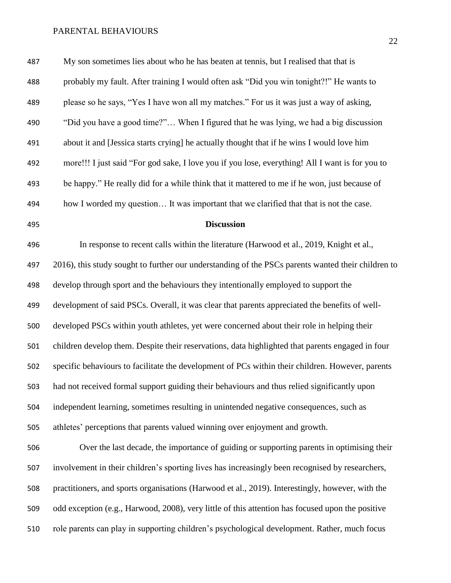| 487 | My son sometimes lies about who he has beaten at tennis, but I realised that that is               |
|-----|----------------------------------------------------------------------------------------------------|
| 488 | probably my fault. After training I would often ask "Did you win tonight?!" He wants to            |
| 489 | please so he says, "Yes I have won all my matches." For us it was just a way of asking,            |
| 490 | "Did you have a good time?" When I figured that he was lying, we had a big discussion              |
| 491 | about it and [Jessica starts crying] he actually thought that if he wins I would love him          |
| 492 | more!!! I just said "For god sake, I love you if you lose, everything! All I want is for you to    |
| 493 | be happy." He really did for a while think that it mattered to me if he won, just because of       |
| 494 | how I worded my question It was important that we clarified that that is not the case.             |
| 495 | <b>Discussion</b>                                                                                  |
| 496 | In response to recent calls within the literature (Harwood et al., 2019, Knight et al.,            |
| 497 | 2016), this study sought to further our understanding of the PSCs parents wanted their children to |
| 498 | develop through sport and the behaviours they intentionally employed to support the                |
| 499 | development of said PSCs. Overall, it was clear that parents appreciated the benefits of well-     |
| 500 | developed PSCs within youth athletes, yet were concerned about their role in helping their         |
| 501 | children develop them. Despite their reservations, data highlighted that parents engaged in four   |
| 502 | specific behaviours to facilitate the development of PCs within their children. However, parents   |
| 503 | had not received formal support guiding their behaviours and thus relied significantly upon        |
| 504 | independent learning, sometimes resulting in unintended negative consequences, such as             |
| 505 | athletes' perceptions that parents valued winning over enjoyment and growth.                       |
| 506 | Over the last decade, the importance of guiding or supporting parents in optimising their          |
| 507 | involvement in their children's sporting lives has increasingly been recognised by researchers,    |
| 508 | practitioners, and sports organisations (Harwood et al., 2019). Interestingly, however, with the   |
| 509 | odd exception (e.g., Harwood, 2008), very little of this attention has focused upon the positive   |

role parents can play in supporting children's psychological development. Rather, much focus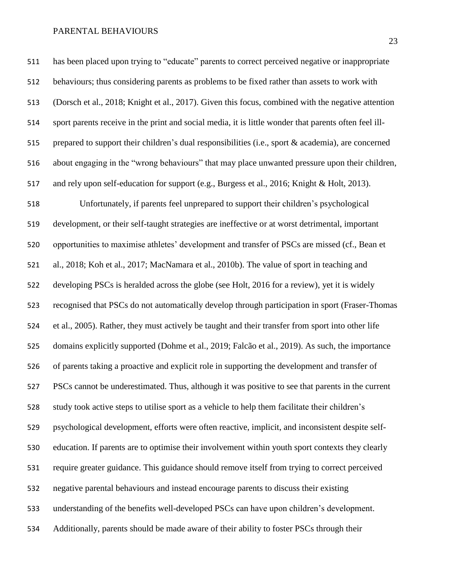has been placed upon trying to "educate" parents to correct perceived negative or inappropriate behaviours; thus considering parents as problems to be fixed rather than assets to work with (Dorsch et al., 2018; Knight et al., 2017). Given this focus, combined with the negative attention sport parents receive in the print and social media, it is little wonder that parents often feel ill- prepared to support their children's dual responsibilities (i.e., sport & academia), are concerned about engaging in the "wrong behaviours" that may place unwanted pressure upon their children, and rely upon self-education for support (e.g., Burgess et al., 2016; Knight & Holt, 2013). Unfortunately, if parents feel unprepared to support their children's psychological development, or their self-taught strategies are ineffective or at worst detrimental, important opportunities to maximise athletes' development and transfer of PSCs are missed (cf., Bean et al., 2018; Koh et al., 2017; MacNamara et al., 2010b). The value of sport in teaching and developing PSCs is heralded across the globe (see Holt, 2016 for a review), yet it is widely recognised that PSCs do not automatically develop through participation in sport (Fraser-Thomas et al., 2005). Rather, they must actively be taught and their transfer from sport into other life domains explicitly supported (Dohme et al., 2019; Falcão et al., 2019). As such, the importance of parents taking a proactive and explicit role in supporting the development and transfer of PSCs cannot be underestimated. Thus, although it was positive to see that parents in the current study took active steps to utilise sport as a vehicle to help them facilitate their children's psychological development, efforts were often reactive, implicit, and inconsistent despite self- education. If parents are to optimise their involvement within youth sport contexts they clearly require greater guidance. This guidance should remove itself from trying to correct perceived negative parental behaviours and instead encourage parents to discuss their existing understanding of the benefits well-developed PSCs can have upon children's development. Additionally, parents should be made aware of their ability to foster PSCs through their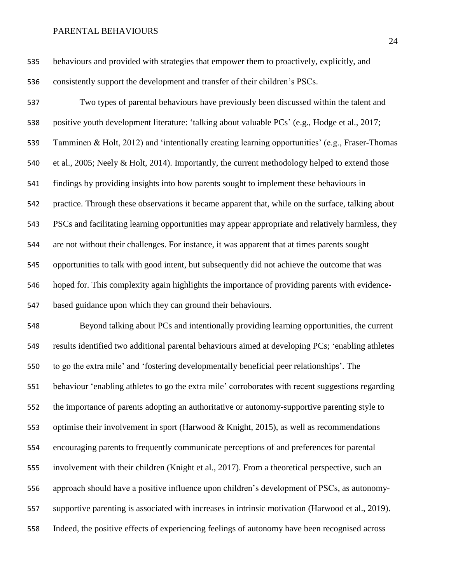behaviours and provided with strategies that empower them to proactively, explicitly, and consistently support the development and transfer of their children's PSCs.

 Two types of parental behaviours have previously been discussed within the talent and positive youth development literature: 'talking about valuable PCs' (e.g., Hodge et al., 2017; Tamminen & Holt, 2012) and 'intentionally creating learning opportunities' (e.g., Fraser-Thomas et al., 2005; Neely & Holt, 2014). Importantly, the current methodology helped to extend those findings by providing insights into how parents sought to implement these behaviours in practice. Through these observations it became apparent that, while on the surface, talking about PSCs and facilitating learning opportunities may appear appropriate and relatively harmless, they are not without their challenges. For instance, it was apparent that at times parents sought opportunities to talk with good intent, but subsequently did not achieve the outcome that was hoped for. This complexity again highlights the importance of providing parents with evidence-based guidance upon which they can ground their behaviours.

 Beyond talking about PCs and intentionally providing learning opportunities, the current results identified two additional parental behaviours aimed at developing PCs; 'enabling athletes to go the extra mile' and 'fostering developmentally beneficial peer relationships'. The behaviour 'enabling athletes to go the extra mile' corroborates with recent suggestions regarding the importance of parents adopting an authoritative or autonomy-supportive parenting style to optimise their involvement in sport (Harwood & Knight, 2015), as well as recommendations encouraging parents to frequently communicate perceptions of and preferences for parental involvement with their children (Knight et al., 2017). From a theoretical perspective, such an approach should have a positive influence upon children's development of PSCs, as autonomy- supportive parenting is associated with increases in intrinsic motivation (Harwood et al., 2019). Indeed, the positive effects of experiencing feelings of autonomy have been recognised across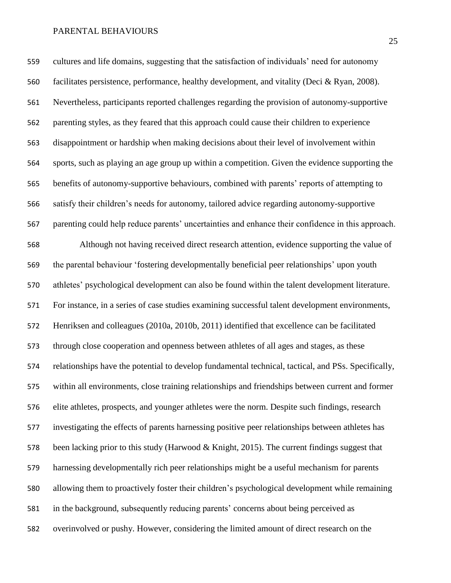cultures and life domains, suggesting that the satisfaction of individuals' need for autonomy facilitates persistence, performance, healthy development, and vitality (Deci & Ryan, 2008). Nevertheless, participants reported challenges regarding the provision of autonomy-supportive parenting styles, as they feared that this approach could cause their children to experience disappointment or hardship when making decisions about their level of involvement within sports, such as playing an age group up within a competition. Given the evidence supporting the benefits of autonomy-supportive behaviours, combined with parents' reports of attempting to satisfy their children's needs for autonomy, tailored advice regarding autonomy-supportive parenting could help reduce parents' uncertainties and enhance their confidence in this approach. Although not having received direct research attention, evidence supporting the value of the parental behaviour 'fostering developmentally beneficial peer relationships' upon youth athletes' psychological development can also be found within the talent development literature. For instance, in a series of case studies examining successful talent development environments, Henriksen and colleagues (2010a, 2010b, 2011) identified that excellence can be facilitated through close cooperation and openness between athletes of all ages and stages, as these relationships have the potential to develop fundamental technical, tactical, and PSs. Specifically, within all environments, close training relationships and friendships between current and former elite athletes, prospects, and younger athletes were the norm. Despite such findings, research investigating the effects of parents harnessing positive peer relationships between athletes has been lacking prior to this study (Harwood & Knight, 2015). The current findings suggest that harnessing developmentally rich peer relationships might be a useful mechanism for parents allowing them to proactively foster their children's psychological development while remaining in the background, subsequently reducing parents' concerns about being perceived as overinvolved or pushy. However, considering the limited amount of direct research on the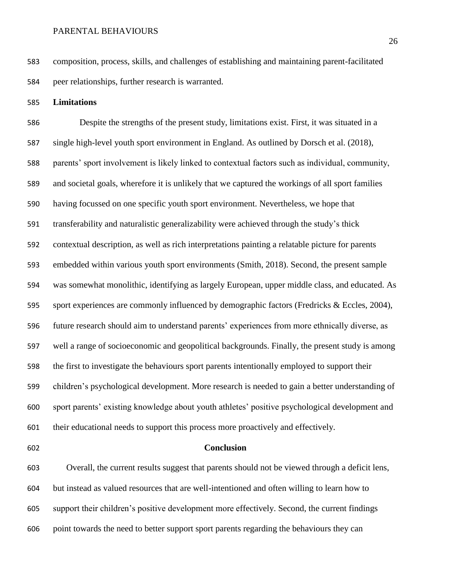composition, process, skills, and challenges of establishing and maintaining parent-facilitated peer relationships, further research is warranted.

**Limitations**

 Despite the strengths of the present study, limitations exist. First, it was situated in a single high-level youth sport environment in England. As outlined by Dorsch et al. (2018), parents' sport involvement is likely linked to contextual factors such as individual, community, and societal goals, wherefore it is unlikely that we captured the workings of all sport families having focussed on one specific youth sport environment. Nevertheless, we hope that transferability and naturalistic generalizability were achieved through the study's thick contextual description, as well as rich interpretations painting a relatable picture for parents embedded within various youth sport environments (Smith, 2018). Second, the present sample was somewhat monolithic, identifying as largely European, upper middle class, and educated. As sport experiences are commonly influenced by demographic factors (Fredricks & Eccles, 2004), future research should aim to understand parents' experiences from more ethnically diverse, as well a range of socioeconomic and geopolitical backgrounds. Finally, the present study is among the first to investigate the behaviours sport parents intentionally employed to support their children's psychological development. More research is needed to gain a better understanding of sport parents' existing knowledge about youth athletes' positive psychological development and their educational needs to support this process more proactively and effectively.

### **Conclusion**

 Overall, the current results suggest that parents should not be viewed through a deficit lens, but instead as valued resources that are well-intentioned and often willing to learn how to support their children's positive development more effectively. Second, the current findings point towards the need to better support sport parents regarding the behaviours they can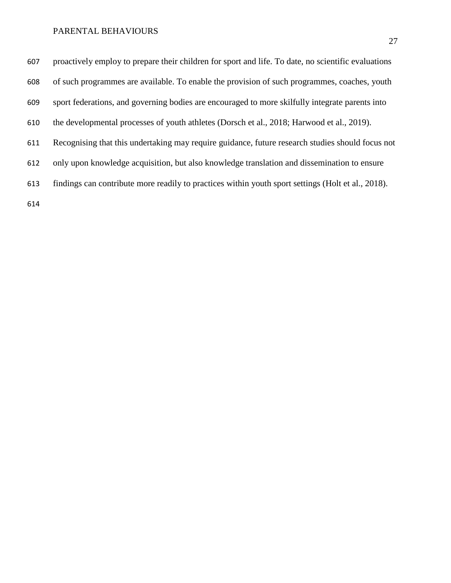| 607 | proactively employ to prepare their children for sport and life. To date, no scientific evaluations |
|-----|-----------------------------------------------------------------------------------------------------|
| 608 | of such programmes are available. To enable the provision of such programmes, coaches, youth        |
| 609 | sport federations, and governing bodies are encouraged to more skilfully integrate parents into     |
| 610 | the developmental processes of youth at hetes (Dorsch et al., 2018; Harwood et al., 2019).          |
| 611 | Recognising that this undertaking may require guidance, future research studies should focus not    |
| 612 | only upon knowledge acquisition, but also knowledge translation and dissemination to ensure         |
| 613 | findings can contribute more readily to practices within youth sport settings (Holt et al., 2018).  |
| 614 |                                                                                                     |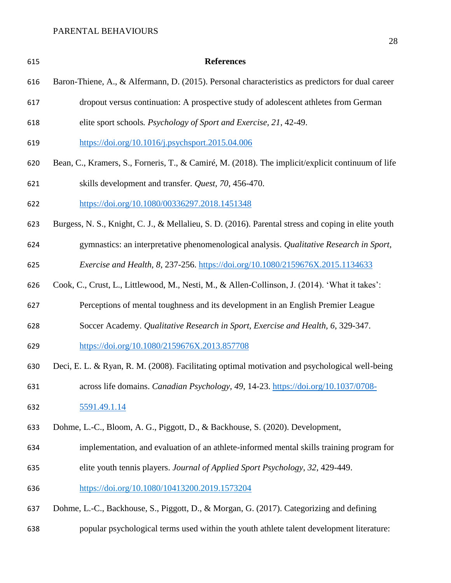| 615 | <b>References</b>                                                                                   |
|-----|-----------------------------------------------------------------------------------------------------|
| 616 | Baron-Thiene, A., & Alfermann, D. (2015). Personal characteristics as predictors for dual career    |
| 617 | dropout versus continuation: A prospective study of adolescent athletes from German                 |
| 618 | elite sport schools. Psychology of Sport and Exercise, 21, 42-49.                                   |
| 619 | https://doi.org/10.1016/j.psychsport.2015.04.006                                                    |
| 620 | Bean, C., Kramers, S., Forneris, T., & Camiré, M. (2018). The implicit/explicit continuum of life   |
| 621 | skills development and transfer. Quest, 70, 456-470.                                                |
| 622 | https://doi.org/10.1080/00336297.2018.1451348                                                       |
| 623 | Burgess, N. S., Knight, C. J., & Mellalieu, S. D. (2016). Parental stress and coping in elite youth |
| 624 | gymnastics: an interpretative phenomenological analysis. Qualitative Research in Sport,             |
| 625 | Exercise and Health, 8, 237-256. https://doi.org/10.1080/2159676X.2015.1134633                      |
| 626 | Cook, C., Crust, L., Littlewood, M., Nesti, M., & Allen-Collinson, J. (2014). 'What it takes':      |
| 627 | Perceptions of mental toughness and its development in an English Premier League                    |
| 628 | Soccer Academy. Qualitative Research in Sport, Exercise and Health, 6, 329-347.                     |
| 629 | https://doi.org/10.1080/2159676X.2013.857708                                                        |
| 630 | Deci, E. L. & Ryan, R. M. (2008). Facilitating optimal motivation and psychological well-being      |
| 631 | across life domains. Canadian Psychology, 49, 14-23. https://doi.org/10.1037/0708-                  |
| 632 | 5591.49.1.14                                                                                        |
| 633 | Dohme, L.-C., Bloom, A. G., Piggott, D., & Backhouse, S. (2020). Development,                       |
| 634 | implementation, and evaluation of an athlete-informed mental skills training program for            |
| 635 | elite youth tennis players. Journal of Applied Sport Psychology, 32, 429-449.                       |
| 636 | https://doi.org/10.1080/10413200.2019.1573204                                                       |
| 637 | Dohme, L.-C., Backhouse, S., Piggott, D., & Morgan, G. (2017). Categorizing and defining            |
| 638 | popular psychological terms used within the youth athlete talent development literature:            |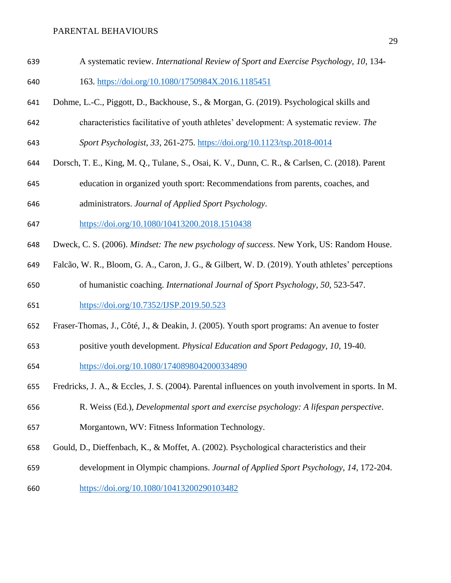- A systematic review. *International Review of Sport and Exercise Psychology, 10*, 134- 163.<https://doi.org/10.1080/1750984X.2016.1185451>
- 
- Dohme, L.-C., Piggott, D., Backhouse, S., & Morgan, G. (2019). Psychological skills and
- characteristics facilitative of youth athletes' development: A systematic review. *The*
- *Sport Psychologist, 33*, 261-275.<https://doi.org/10.1123/tsp.2018-0014>
- Dorsch, T. E., King, M. Q., Tulane, S., Osai, K. V., Dunn, C. R., & Carlsen, C. (2018). Parent
- education in organized youth sport: Recommendations from parents, coaches, and

administrators. *Journal of Applied Sport Psychology*.

- <https://doi.org/10.1080/10413200.2018.1510438>
- Dweck, C. S. (2006). *Mindset: The new psychology of success*. New York, US: Random House.
- Falcão, W. R., Bloom, G. A., Caron, J. G., & Gilbert, W. D. (2019). Youth athletes' perceptions of humanistic coaching. *International Journal of Sport Psychology, 50*, 523-547.
- <https://doi.org/10.7352/IJSP.2019.50.523>
- Fraser-Thomas, J., Côté, J., & Deakin, J. (2005). Youth sport programs: An avenue to foster
- positive youth development. *Physical Education and Sport Pedagogy, 10*, 19-40.
- <https://doi.org/10.1080/1740898042000334890>
- Fredricks, J. A., & Eccles, J. S. (2004). Parental influences on youth involvement in sports. In M.
- R. Weiss (Ed.), *Developmental sport and exercise psychology: A lifespan perspective*.
- Morgantown, WV: Fitness Information Technology.
- Gould, D., Dieffenbach, K., & Moffet, A. (2002). Psychological characteristics and their
- development in Olympic champions. *Journal of Applied Sport Psychology, 14*, 172-204.
- <https://doi.org/10.1080/10413200290103482>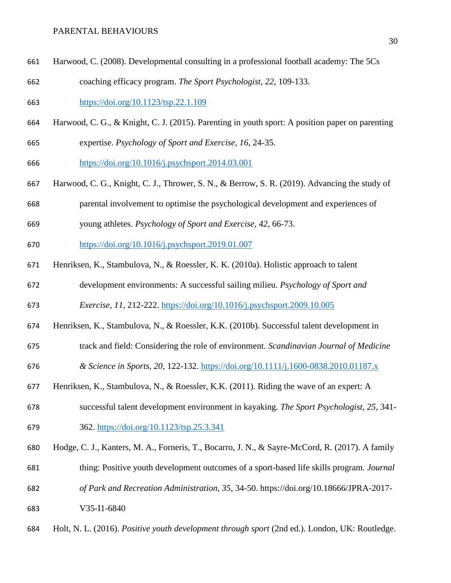Harwood, C. (2008). Developmental consulting in a professional football academy: The 5Cs coaching efficacy program. *The Sport Psychologist, 22*, 109-133.

<https://doi.org/10.1123/tsp.22.1.109>

- Harwood, C. G., & Knight, C. J. (2015). Parenting in youth sport: A position paper on parenting
- expertise. *Psychology of Sport and Exercise, 16*, 24-35.

<https://doi.org/10.1016/j.psychsport.2014.03.001>

- Harwood, C. G., Knight, C. J., Thrower, S. N., & Berrow, S. R. (2019). Advancing the study of
- parental involvement to optimise the psychological development and experiences of
- young athletes. *Psychology of Sport and Exercise, 42*, 66-73.
- <https://doi.org/10.1016/j.psychsport.2019.01.007>
- Henriksen, K., Stambulova, N., & Roessler, K. K. (2010a). Holistic approach to talent
- development environments: A successful sailing milieu. *Psychology of Sport and*
- *Exercise, 11*, 212-222.<https://doi.org/10.1016/j.psychsport.2009.10.005>
- Henriksen, K., Stambulova, N., & Roessler, K.K. (2010b). Successful talent development in
- track and field: Considering the role of environment. *Scandinavian Journal of Medicine*
- *& Science in Sports, 20*, 122-132.<https://doi.org/10.1111/j.1600-0838.2010.01187.x>
- Henriksen, K., Stambulova, N., & Roessler, K.K. (2011). Riding the wave of an expert: A
- successful talent development environment in kayaking. *The Sport Psychologist, 25*, 341-
- 362.<https://doi.org/10.1123/tsp.25.3.341>
- Hodge, C. J., Kanters, M. A., Forneris, T., Bocarro, J. N., & Sayre-McCord, R. (2017). A family
- thing: Positive youth development outcomes of a sport-based life skills program. *Journal*
- *of Park and Recreation Administration, 35*, 34-50. https://doi.org[/10.18666/JPRA-2017-](https://www.researchgate.net/deref/http%3A%2F%2Fdx.doi.org%2F10.18666%2FJPRA-2017-V35-I1-6840)
- [V35-I1-6840](https://www.researchgate.net/deref/http%3A%2F%2Fdx.doi.org%2F10.18666%2FJPRA-2017-V35-I1-6840)
- Holt, N. L. (2016). *Positive youth development through sport* (2nd ed.). London, UK: Routledge.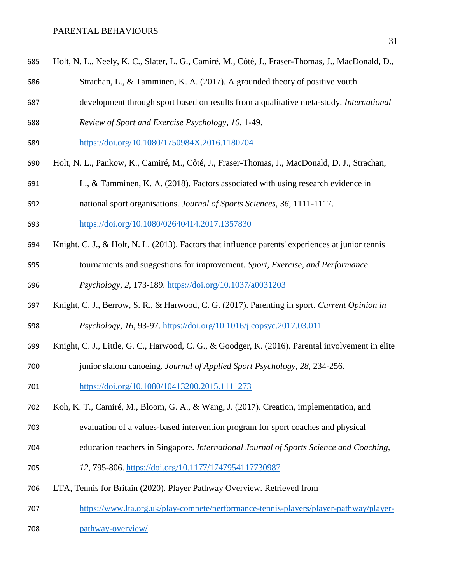- Strachan, L., & Tamminen, K. A. (2017). A grounded theory of positive youth
- development through sport based on results from a qualitative meta-study. *International*
- *Review of Sport and Exercise Psychology, 10*, 1-49.
- <https://doi.org/10.1080/1750984X.2016.1180704>
- Holt, N. L., Pankow, K., Camiré, M., Côté, J., Fraser-Thomas, J., MacDonald, D. J., Strachan,
- L., & Tamminen, K. A. (2018). Factors associated with using research evidence in
- national sport organisations. *Journal of Sports Sciences, 36*, 1111-1117.
- <https://doi.org/10.1080/02640414.2017.1357830>
- Knight, C. J., & Holt, N. L. (2013). Factors that influence parents' experiences at junior tennis
- tournaments and suggestions for improvement. *Sport, Exercise, and Performance*
- *Psychology, 2*, 173-189.<https://doi.org/10.1037/a0031203>
- Knight, C. J., Berrow, S. R., & Harwood, C. G. (2017). Parenting in sport. *Current Opinion in Psychology, 16*, 93-97.<https://doi.org/10.1016/j.copsyc.2017.03.011>
- Knight, C. J., Little, G. C., Harwood, C. G., & Goodger, K. (2016). Parental involvement in elite
- junior slalom canoeing. *Journal of Applied Sport Psychology, 28*, 234-256.
- <https://doi.org/10.1080/10413200.2015.1111273>
- Koh, K. T., Camiré, M., Bloom, G. A., & Wang, J. (2017). Creation, implementation, and
- evaluation of a values-based intervention program for sport coaches and physical
- education teachers in Singapore. *International Journal of Sports Science and Coaching,*
- *12*, 795-806. <https://doi.org/10.1177/1747954117730987>
- LTA, Tennis for Britain (2020). Player Pathway Overview. Retrieved from
- [https://www.lta.org.uk/play-compete/performance-tennis-players/player-pathway/player-](https://www.lta.org.uk/play-compete/performance-tennis-players/player-pathway/player-pathway-overview/)
- [pathway-overview/](https://www.lta.org.uk/play-compete/performance-tennis-players/player-pathway/player-pathway-overview/)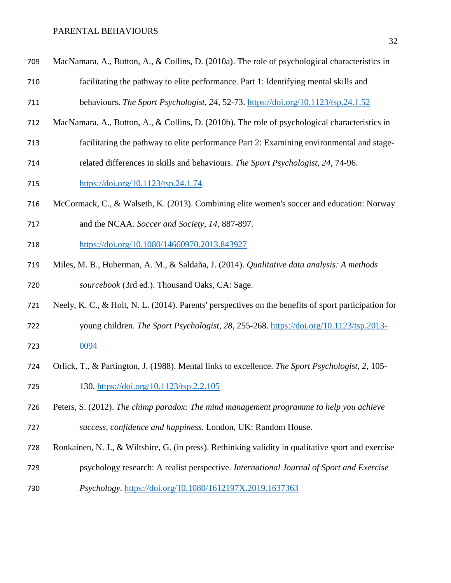| 709 | MacNamara, A., Button, A., & Collins, D. (2010a). The role of psychological characteristics in       |
|-----|------------------------------------------------------------------------------------------------------|
| 710 | facilitating the pathway to elite performance. Part 1: Identifying mental skills and                 |
| 711 | behaviours. The Sport Psychologist, 24, 52-73. https://doi.org/10.1123/tsp.24.1.52                   |
| 712 | MacNamara, A., Button, A., & Collins, D. (2010b). The role of psychological characteristics in       |
| 713 | facilitating the pathway to elite performance Part 2: Examining environmental and stage-             |
| 714 | related differences in skills and behaviours. The Sport Psychologist, 24, 74-96.                     |
| 715 | https://doi.org/10.1123/tsp.24.1.74                                                                  |
| 716 | McCormack, C., & Walseth, K. (2013). Combining elite women's soccer and education: Norway            |
| 717 | and the NCAA. Soccer and Society, 14, 887-897.                                                       |
| 718 | https://doi.org/10.1080/14660970.2013.843927                                                         |
| 719 | Miles, M. B., Huberman, A. M., & Saldaña, J. (2014). Qualitative data analysis: A methods            |
| 720 | sourcebook (3rd ed.). Thousand Oaks, CA: Sage.                                                       |
| 721 | Neely, K. C., & Holt, N. L. (2014). Parents' perspectives on the benefits of sport participation for |
| 722 | young children. The Sport Psychologist, 28, 255-268. https://doi.org/10.1123/tsp.2013-               |
| 723 | 0094                                                                                                 |
| 724 | Orlick, T., & Partington, J. (1988). Mental links to excellence. The Sport Psychologist, 2, 105-     |

- 130.<https://doi.org/10.1123/tsp.2.2.105>
- Peters, S. (2012). *The chimp paradox: The mind management programme to help you achieve success, confidence and happiness.* London, UK: Random House.
- Ronkainen, N. J., & Wiltshire, G. (in press). Rethinking validity in qualitative sport and exercise
- psychology research: A realist perspective. *International Journal of Sport and Exercise*
- *Psychology.* <https://doi.org/10.1080/1612197X.2019.1637363>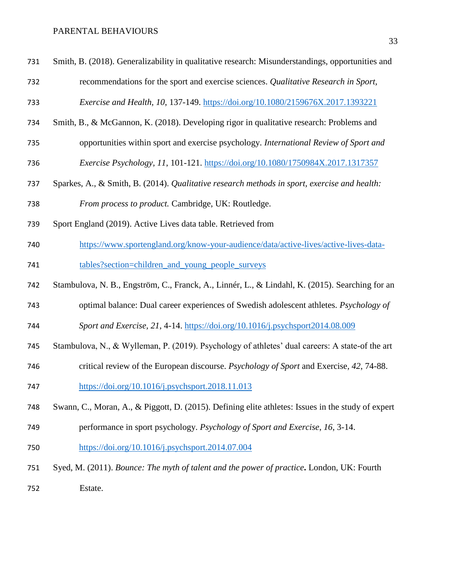Smith, B. (2018). Generalizability in qualitative research: Misunderstandings, opportunities and recommendations for the sport and exercise sciences. *Qualitative Research in Sport,* 

*Exercise and Health, 10*, 137-149.<https://doi.org/10.1080/2159676X.2017.1393221>

- Smith, B., & McGannon, K. (2018). Developing rigor in qualitative research: Problems and
- opportunities within sport and exercise psychology. *International Review of Sport and*
- *Exercise Psychology, 11*, 101-121.<https://doi.org/10.1080/1750984X.2017.1317357>
- Sparkes, A., & Smith, B. (2014). *Qualitative research methods in sport, exercise and health: From process to product.* Cambridge, UK: Routledge.
- Sport England (2019). Active Lives data table. Retrieved from
- [https://www.sportengland.org/know-your-audience/data/active-lives/active-lives-data-](https://www.sportengland.org/know-your-audience/data/active-lives/active-lives-data-tables?section=children_and_young_people_surveys)
- [tables?section=children\\_and\\_young\\_people\\_surveys](https://www.sportengland.org/know-your-audience/data/active-lives/active-lives-data-tables?section=children_and_young_people_surveys)
- Stambulova, N. B., Engström, C., Franck, A., Linnér, L., & Lindahl, K. (2015). Searching for an
- optimal balance: Dual career experiences of Swedish adolescent athletes. *Psychology of*
- *Sport and Exercise, 21*, 4-14.<https://doi.org/10.1016/j.psychsport2014.08.009>
- Stambulova, N., & Wylleman, P. (2019). Psychology of athletes' dual careers: A state-of the art
- critical review of the European discourse. *Psychology of Sport* and Exercise*, 42*, 74-88.
- <https://doi.org/10.1016/j.psychsport.2018.11.013>
- Swann, C., Moran, A., & Piggott, D. (2015). Defining elite athletes: Issues in the study of expert
- performance in sport psychology. *Psychology of Sport and Exercise*, *16*, 3-14.
- <https://doi.org/10.1016/j.psychsport.2014.07.004>
- Syed, M. (2011). *Bounce: The myth of talent and the power of practice***.** London, UK: Fourth Estate.